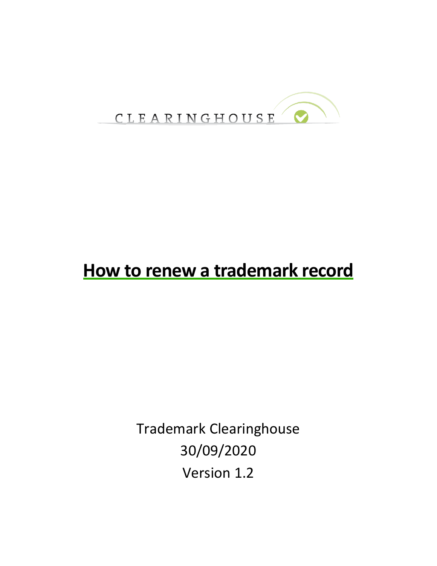

# **How to renew a trademark record**

Trademark Clearinghouse 30/09/2020 Version 1.2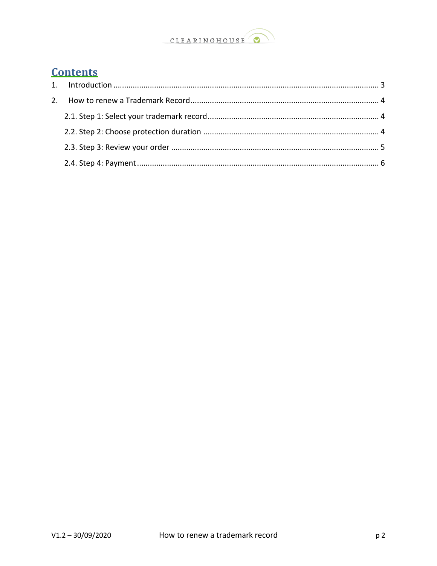

### **Contents**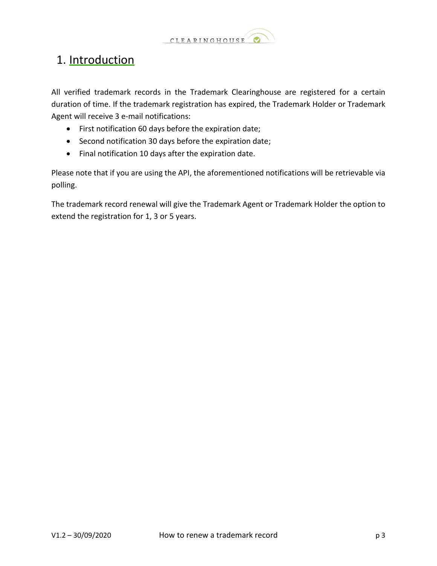

## <span id="page-2-0"></span>1. Introduction

All verified trademark records in the Trademark Clearinghouse are registered for a certain duration of time. If the trademark registration has expired, the Trademark Holder or Trademark Agent will receive 3 e-mail notifications:

- First notification 60 days before the expiration date;
- Second notification 30 days before the expiration date;
- Final notification 10 days after the expiration date.

Please note that if you are using the API, the aforementioned notifications will be retrievable via polling.

The trademark record renewal will give the Trademark Agent or Trademark Holder the option to extend the registration for 1, 3 or 5 years.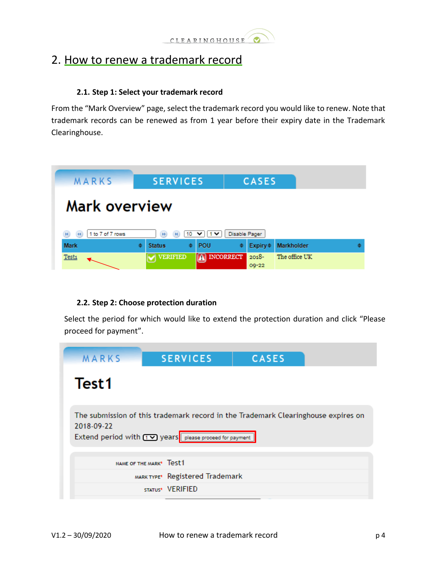

### <span id="page-3-0"></span>2. How to renew a trademark record

#### **2.1. Step 1: Select your trademark record**

<span id="page-3-1"></span>From the "Mark Overview" page, select the trademark record you would like to renew. Note that trademark records can be renewed as from 1 year before their expiry date in the Trademark Clearinghouse.



#### **2.2. Step 2: Choose protection duration**

<span id="page-3-2"></span>Select the period for which would like to extend the protection duration and click "Please proceed for payment".

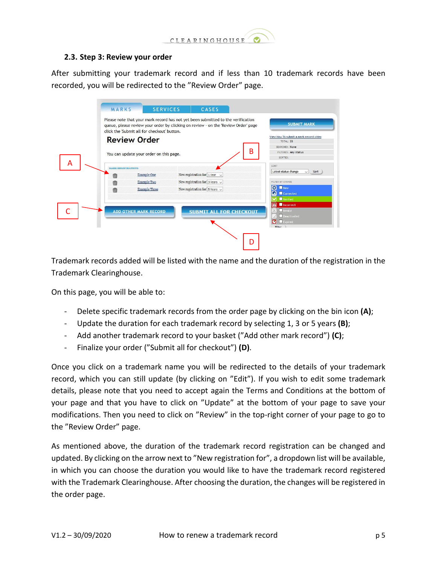

#### <span id="page-4-0"></span>**2.3. Step 3: Review your order**

After submitting your trademark record and if less than 10 trademark records have been recorded, you will be redirected to the "Review Order" page.

|   | MARKS                     | <b>SERVICES</b>                                                                                                                                                                                                       |  | CASES                                 |   |                                        |
|---|---------------------------|-----------------------------------------------------------------------------------------------------------------------------------------------------------------------------------------------------------------------|--|---------------------------------------|---|----------------------------------------|
|   |                           | Please note that your mark record has not yet been submitted to the verification<br>queue, please review your order by clicking on review - on the 'Review Order' page<br>click the 'Submit all for checkout' button. |  |                                       |   | <b>SUBMIT MARK</b>                     |
|   |                           | <b>Review Order</b>                                                                                                                                                                                                   |  |                                       |   |                                        |
|   |                           |                                                                                                                                                                                                                       |  |                                       |   | TOTAL: 33<br>SEARCHED: None            |
|   |                           | You can update your order on this page.                                                                                                                                                                               |  |                                       | В | FILTERED: Any status                   |
|   |                           |                                                                                                                                                                                                                       |  |                                       |   | SORTED:                                |
| А | <b>MARK REGISTRATIONS</b> |                                                                                                                                                                                                                       |  |                                       |   | SORT                                   |
|   | m                         | <b>Example One</b>                                                                                                                                                                                                    |  | New registration for $1$ Year $\sim$  |   | Latest status change<br>Sort<br>$\vee$ |
|   | m                         | <b>Example Two</b>                                                                                                                                                                                                    |  | New registration for $3$ Years $\sim$ |   | FILTER BY STATUS                       |
|   | m                         | <b>Example Three</b>                                                                                                                                                                                                  |  | New registration for $5$ Years $\sim$ |   | <b>O</b> New                           |
|   |                           |                                                                                                                                                                                                                       |  |                                       |   | <b>Q L</b> Corrected                   |
|   |                           |                                                                                                                                                                                                                       |  |                                       |   | <b>Werified</b>                        |
|   |                           |                                                                                                                                                                                                                       |  |                                       |   | $\blacksquare$<br>Incorrect<br>Invalid |
|   |                           | <b>ADD OTHER MARK RECORD</b>                                                                                                                                                                                          |  | <b>SUBMIT ALL FOR CHECKOUT</b>        |   | Deactivated                            |
|   |                           |                                                                                                                                                                                                                       |  |                                       |   | $\Box$ Expired<br>ы                    |
|   |                           |                                                                                                                                                                                                                       |  |                                       |   | Filter                                 |
|   |                           |                                                                                                                                                                                                                       |  |                                       |   |                                        |
|   |                           |                                                                                                                                                                                                                       |  |                                       |   |                                        |

Trademark records added will be listed with the name and the duration of the registration in the Trademark Clearinghouse.

On this page, you will be able to:

- Delete specific trademark records from the order page by clicking on the bin icon **(A)**;
- Update the duration for each trademark record by selecting 1, 3 or 5 years **(B)**;
- Add another trademark record to your basket ("Add other mark record") **(C)**;
- Finalize your order ("Submit all for checkout") **(D)**.

Once you click on a trademark name you will be redirected to the details of your trademark record, which you can still update (by clicking on "Edit"). If you wish to edit some trademark details, please note that you need to accept again the Terms and Conditions at the bottom of your page and that you have to click on "Update" at the bottom of your page to save your modifications. Then you need to click on "Review" in the top-right corner of your page to go to the "Review Order" page.

As mentioned above, the duration of the trademark record registration can be changed and updated. By clicking on the arrow next to "New registration for", a dropdown list will be available, in which you can choose the duration you would like to have the trademark record registered with the Trademark Clearinghouse. After choosing the duration, the changes will be registered in the order page.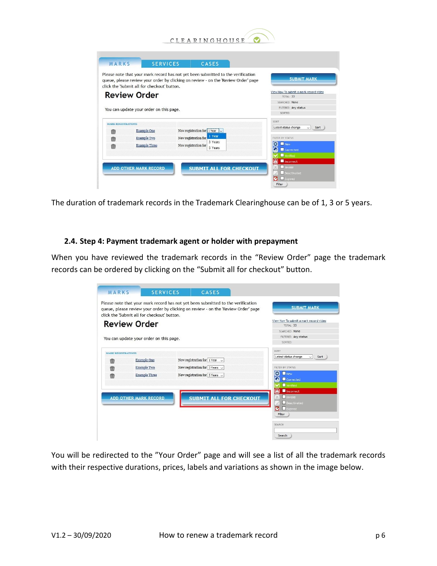

|                           | <b>SERVICES</b><br>MARKS<br>Please note that your mark record has not yet been submitted to the verification | CASES                                               |                                                                                    | <b>SUBMIT MARK</b>                  |
|---------------------------|--------------------------------------------------------------------------------------------------------------|-----------------------------------------------------|------------------------------------------------------------------------------------|-------------------------------------|
|                           | click the 'Submit all for checkout' button.                                                                  |                                                     | queue, please review your order by clicking on review - on the 'Review Order' page |                                     |
|                           | <b>Review Order</b>                                                                                          | View How To submit a mark record video<br>TOTAL: 33 |                                                                                    |                                     |
|                           |                                                                                                              |                                                     |                                                                                    | <b>SEARCHED: None</b>               |
|                           | You can update your order on this page.                                                                      |                                                     |                                                                                    | FILTERED: Any status                |
|                           |                                                                                                              |                                                     |                                                                                    | SORTED:                             |
| <b>MARK REGISTRATIONS</b> |                                                                                                              |                                                     |                                                                                    | SORT                                |
| 而                         | <b>Example One</b>                                                                                           | New registration for $\frac{1}{2}$ Year $\sqrt{2}$  |                                                                                    | Latest status change<br>$\vee$ Sort |
|                           | <b>Example Two</b>                                                                                           | 1 Year<br>New registration for<br>3 Years           | FILTER BY STATUS                                                                   |                                     |
| 而                         | <b>Example Three</b>                                                                                         | New registration for<br>5 Years                     |                                                                                    | o<br>New<br>Corrected               |
| 俪                         |                                                                                                              |                                                     |                                                                                    |                                     |
|                           |                                                                                                              |                                                     |                                                                                    | <b>Werified</b>                     |
|                           |                                                                                                              |                                                     |                                                                                    | $\blacktriangle$<br>Incorrect       |
|                           | <b>ADD OTHER MARK RECORD</b>                                                                                 |                                                     | <b>SUBMIT ALL FOR CHECKOUT</b>                                                     | Invalid<br>Deactivated              |

The duration of trademark records in the Trademark Clearinghouse can be of 1, 3 or 5 years.

#### <span id="page-5-0"></span>**2.4. Step 4: Payment trademark agent or holder with prepayment**

When you have reviewed the trademark records in the "Review Order" page the trademark records can be ordered by clicking on the "Submit all for checkout" button.

|                           | click the 'Submit all for checkout' button. |                                                        |                                                        |
|---------------------------|---------------------------------------------|--------------------------------------------------------|--------------------------------------------------------|
|                           | <b>Review Order</b>                         |                                                        | View How To submit a mark record video<br>$TOTAI - 33$ |
|                           |                                             |                                                        | <b>SEARCHED: None</b>                                  |
|                           | You can update your order on this page.     |                                                        | FILTERED: Any status                                   |
|                           |                                             |                                                        | SORTED:                                                |
| <b>MARK REGISTRATIONS</b> |                                             |                                                        | SORT                                                   |
|                           | <b>Example One</b>                          | New registration for $1$ Year $\sim$                   | Latest status change<br>$\vee$ Sort                    |
| m                         | <b>Example Two</b>                          | New registration for $3$ Years $\sim$                  | FILTER BY STATUS                                       |
| m                         |                                             |                                                        | o<br>New                                               |
| m                         | <b>Example Three</b>                        | New registration for $\vert$ 5 Years $\vert\downarrow$ | О<br>Corrected                                         |
|                           |                                             |                                                        | Verified                                               |
|                           |                                             |                                                        | $\left[ \bigtriangleup \right]$<br>Incorrect           |
|                           | <b>ADD OTHER MARK RECORD</b>                | <b>SUBMIT ALL FOR CHECKOUT</b>                         | Invalid                                                |
|                           |                                             |                                                        | Deactivated                                            |
|                           |                                             |                                                        | Expired<br>GI                                          |

You will be redirected to the "Your Order" page and will see a list of all the trademark records with their respective durations, prices, labels and variations as shown in the image below.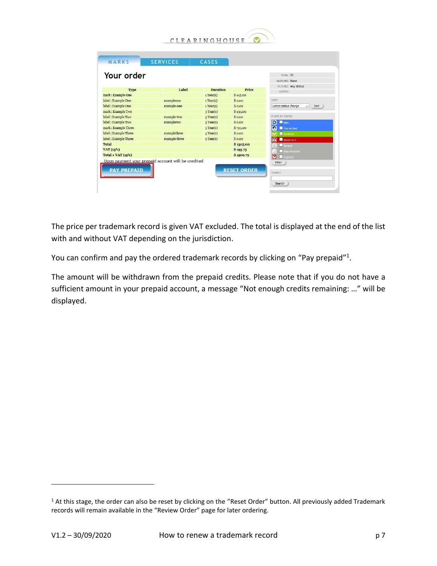

| Type                  | Label         | <b>Duration</b> | Price     | FILTERED: Any status                |
|-----------------------|---------------|-----------------|-----------|-------------------------------------|
| mark: Example One     |               | 1 Year(s)       | \$145.00  | SORTED:                             |
| label : Example One   | exampleone    | 1 Year(s)       | \$0.00    | SORT                                |
| label : Example One   | example-one   | 1 Year(s)       | \$0.00    | Latest status change<br>$\vee$ Sort |
| mark: Example Two     |               | 3 Year(s)       | \$435.00  |                                     |
| label: Example Two    | example-two   | 3 Year(s)       | \$0.00    | FILTER BY STATUS                    |
| label : Example Two   | exampletwo    | 3 Year(s)       | \$0.00    | O<br>New                            |
| mark: Example Three   |               | $5$ Year(s)     | \$725.00  | $\Omega$<br>Corrected               |
| label : Example Three | examplethree  | $5$ Year(s)     | \$0.00    | <b>Werified</b>                     |
| label: Example Three  | example-three | $5$ Year(s)     | \$0.00    | $\blacksquare$<br>Incorrect         |
| <b>Total</b>          |               |                 | \$1305.00 | Invalid                             |
| VAT (15%)             |               |                 | \$195.75  | Deactivated                         |
|                       |               |                 | \$1500.75 | ø<br>Expired                        |

The price per trademark record is given VAT excluded. The total is displayed at the end of the list with and without VAT depending on the jurisdiction.

You can confirm and pay the ordered trademark records by clicking on "Pay prepaid"<sup>1</sup>.

The amount will be withdrawn from the prepaid credits. Please note that if you do not have a sufficient amount in your prepaid account, a message "Not enough credits remaining: …" will be displayed.

 $1$  At this stage, the order can also be reset by clicking on the "Reset Order" button. All previously added Trademark records will remain available in the "Review Order" page for later ordering.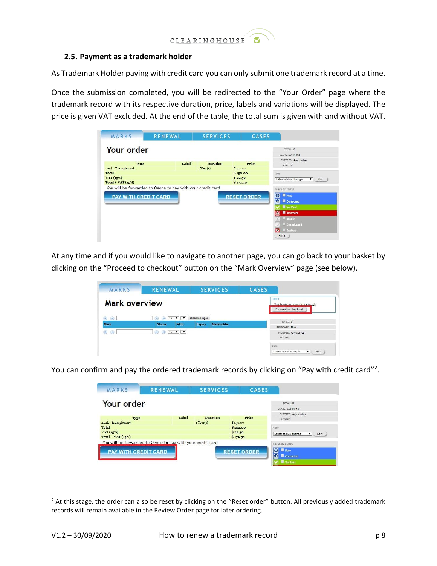

#### **2.5. Payment as a trademark holder**

As Trademark Holder paying with credit card you can only submit one trademark record at a time.

Once the submission completed, you will be redirected to the "Your Order" page where the trademark record with its respective duration, price, labels and variations will be displayed. The price is given VAT excluded. At the end of the table, the total sum is given with and without VAT.

| MARKS                           | <b>RENEWAL</b>                                              | <b>SERVICES</b> | <b>CASES</b>        |                                                       |
|---------------------------------|-------------------------------------------------------------|-----------------|---------------------|-------------------------------------------------------|
| Your order                      |                                                             |                 |                     | TOTAL: 0<br>SEARCHED: None                            |
| Type                            | Label                                                       | <b>Duration</b> | Price               | FILTERED: Any status<br>SORTED:                       |
| mark : Examplemark              |                                                             | $1$ Year(s)     | \$150.00            |                                                       |
| <b>Total</b>                    |                                                             |                 | \$150.00            | SORT                                                  |
| VAT (15%)<br>$Total + VAT(15%)$ |                                                             |                 | \$22.50<br>\$172.50 | $\overline{\bullet}$ Sort<br>Latest status change     |
| <b>PAY WITH CREDIT CARD</b>     | You will be forwarded to Ogone to pay with your credit card |                 | <b>RESET ORDER</b>  | FILTER BY STATUS<br>O<br><b>New</b><br>G<br>Corrected |
|                                 |                                                             |                 |                     | Verified                                              |
|                                 |                                                             |                 |                     | Incorrect<br>А                                        |
|                                 |                                                             |                 |                     | Invalid                                               |
|                                 |                                                             |                 |                     | <b>Deactivated</b>                                    |
|                                 |                                                             |                 |                     | Expired<br>G                                          |
|                                 |                                                             |                 |                     | Filter                                                |

At any time and if you would like to navigate to another page, you can go back to your basket by clicking on the "Proceed to checkout" button on the "Mark Overview" page (see below).

| MARKS                               | <b>RENEWAL</b>                                                                                                                                             | <b>SERVICES</b>      | <b>CASES</b>                                                 |
|-------------------------------------|------------------------------------------------------------------------------------------------------------------------------------------------------------|----------------------|--------------------------------------------------------------|
| <b>Mark overview</b>                |                                                                                                                                                            |                      | ORDER<br>You have an open order ready<br>Proceed to checkout |
| $\mathbf{\widehat{H}}$<br>$\bullet$ | $10 \text{ V}$<br>(H)<br>(95)                                                                                                                              | Disable Pager        |                                                              |
| Mark                                | POU<br><b>Status</b>                                                                                                                                       | Expiry<br>Markholder | TOTAL: 0<br>SEARCHED: None                                   |
|                                     | $\begin{array}{ c c c c c }\n\hline\n\text{M} & \text{10} & \text{V} & \text{V}\n\end{array}$<br>$\begin{array}{c} \textbf{AB} \\ \textbf{AB} \end{array}$ |                      | FILTERED: Any status                                         |
| $\blacksquare$<br>$\overline{44}$   |                                                                                                                                                            |                      |                                                              |

You can confirm and pay the ordered trademark records by clicking on "Pay with credit card"<sup>2</sup>.

| MARKS                       | <b>RENEWAL</b>                                              | <b>SERVICES</b> | <b>CASES</b>       |                                   |
|-----------------------------|-------------------------------------------------------------|-----------------|--------------------|-----------------------------------|
| Your order                  |                                                             |                 |                    | TOTAL: 0                          |
|                             |                                                             |                 |                    | SEARCHED: None                    |
|                             |                                                             |                 |                    | FILTERED: Any status              |
| Type                        | Label                                                       | <b>Duration</b> | Price              | SORTED:                           |
| mark : Examplemark          |                                                             | 1 Year(s)       | \$150.00           |                                   |
| Total                       |                                                             |                 | \$150.00           | SORT                              |
| VAT (15%)                   |                                                             | \$22.50         |                    | Latest status change<br>Sort<br>▼ |
| $Total + VAT(15%)$          |                                                             |                 | \$172.50           |                                   |
|                             | You will be forwarded to Ogone to pay with your credit card |                 |                    | FILTER BY STATUS                  |
|                             |                                                             |                 |                    | <b>New</b><br>o                   |
| <b>PAY WITH CREDIT CARD</b> |                                                             |                 | <b>RESET ORDER</b> |                                   |
|                             |                                                             |                 |                    | Corrected                         |
|                             |                                                             |                 |                    | <b>W</b> Verified                 |

 $<sup>2</sup>$  At this stage, the order can also be reset by clicking on the "Reset order" button. All previously added trademark</sup> records will remain available in the Review Order page for later ordering.